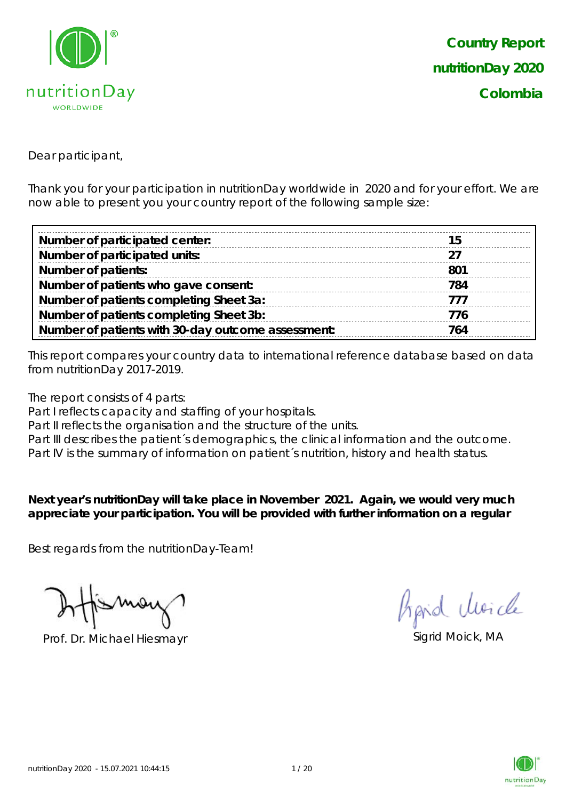

Dear participant,

Thank you for your participation in nutritionDay worldwide in 2020 and for your effort. We are now able to present you your country report of the following sample size:

| Number of participated center:                     | 15  |
|----------------------------------------------------|-----|
| Number of participated units:                      |     |
| <b>Number of patients:</b>                         | 801 |
| Number of patients who gave consent:               | 784 |
| Number of patients completing Sheet 3a:            | 777 |
| Number of patients completing Sheet 3b:            | 776 |
| Number of patients with 30-day outcome assessment: | 764 |

This report compares your country data to international reference database based on data from nutritionDay 2017-2019.

The report consists of 4 parts:

Part I reflects capacity and staffing of your hospitals.

Part II reflects the organisation and the structure of the units.

Part III describes the patient's demographics, the clinical information and the outcome.

Part IV is the summary of information on patient´s nutrition, history and health status.

**Next year's nutritionDay will take place in November 2021. Again, we would very much appreciate your participation. You will be provided with further information on a regular** 

Best regards from the nutritionDay-Team!

Prof. Dr. Michael Hiesmayr Sigrid Moick, MA

Aprid Moich

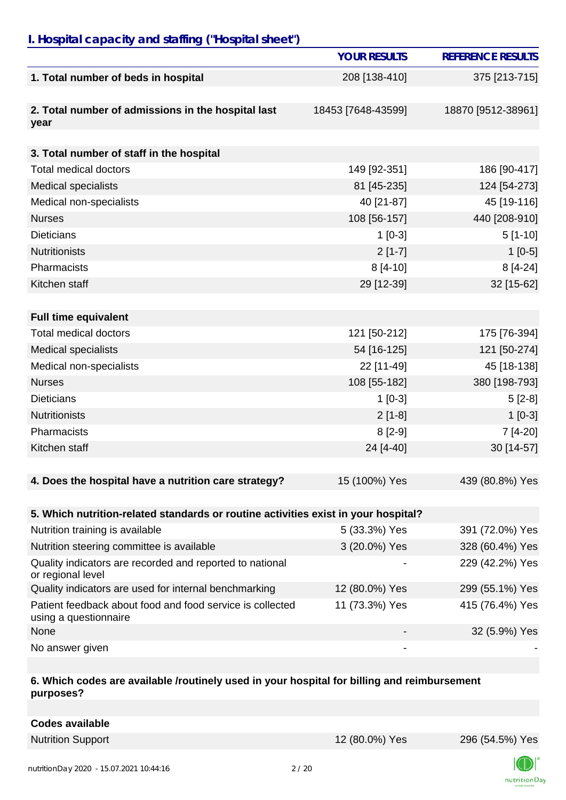## *I. Hospital capacity and staffing ("Hospital sheet")*

|                                                                                    | <b>YOUR RESULTS</b> | <b>REFERENCE RESULTS</b> |
|------------------------------------------------------------------------------------|---------------------|--------------------------|
| 1. Total number of beds in hospital                                                | 208 [138-410]       | 375 [213-715]            |
|                                                                                    |                     |                          |
| 2. Total number of admissions in the hospital last                                 | 18453 [7648-43599]  | 18870 [9512-38961]       |
| year                                                                               |                     |                          |
| 3. Total number of staff in the hospital                                           |                     |                          |
| <b>Total medical doctors</b>                                                       | 149 [92-351]        | 186 [90-417]             |
| <b>Medical specialists</b>                                                         | 81 [45-235]         | 124 [54-273]             |
| Medical non-specialists                                                            | 40 [21-87]          | 45 [19-116]              |
| <b>Nurses</b>                                                                      | 108 [56-157]        | 440 [208-910]            |
| <b>Dieticians</b>                                                                  | $1[0-3]$            | $5[1-10]$                |
| <b>Nutritionists</b>                                                               | $2[1-7]$            | $1[0-5]$                 |
| Pharmacists                                                                        | $8[4-10]$           | $8[4-24]$                |
| Kitchen staff                                                                      | 29 [12-39]          | 32 [15-62]               |
|                                                                                    |                     |                          |
| <b>Full time equivalent</b>                                                        |                     |                          |
| <b>Total medical doctors</b>                                                       | 121 [50-212]        | 175 [76-394]             |
| <b>Medical specialists</b>                                                         | 54 [16-125]         | 121 [50-274]             |
| Medical non-specialists                                                            | 22 [11-49]          | 45 [18-138]              |
| <b>Nurses</b>                                                                      | 108 [55-182]        | 380 [198-793]            |
| <b>Dieticians</b>                                                                  | $1[0-3]$            | $5[2-8]$                 |
| <b>Nutritionists</b>                                                               | $2[1-8]$            | $1[0-3]$                 |
| Pharmacists                                                                        | $8[2-9]$            | 7 [4-20]                 |
| Kitchen staff                                                                      | 24 [4-40]           | 30 [14-57]               |
|                                                                                    |                     |                          |
| 4. Does the hospital have a nutrition care strategy?                               | 15 (100%) Yes       | 439 (80.8%) Yes          |
|                                                                                    |                     |                          |
| 5. Which nutrition-related standards or routine activities exist in your hospital? |                     |                          |
| Nutrition training is available                                                    | 5 (33.3%) Yes       | 391 (72.0%) Yes          |
| Nutrition steering committee is available                                          | 3 (20.0%) Yes       | 328 (60.4%) Yes          |
| Quality indicators are recorded and reported to national<br>or regional level      |                     | 229 (42.2%) Yes          |
| Quality indicators are used for internal benchmarking                              | 12 (80.0%) Yes      | 299 (55.1%) Yes          |
| Patient feedback about food and food service is collected<br>using a questionnaire | 11 (73.3%) Yes      | 415 (76.4%) Yes          |
| None                                                                               |                     | 32 (5.9%) Yes            |
| No answer given                                                                    |                     |                          |

#### **6. Which codes are available /routinely used in your hospital for billing and reimbursement purposes?**

| <b>Codes available</b> |  |
|------------------------|--|
|                        |  |

Nutrition Support 12 (80.0%) Yes 296 (54.5%) Yes

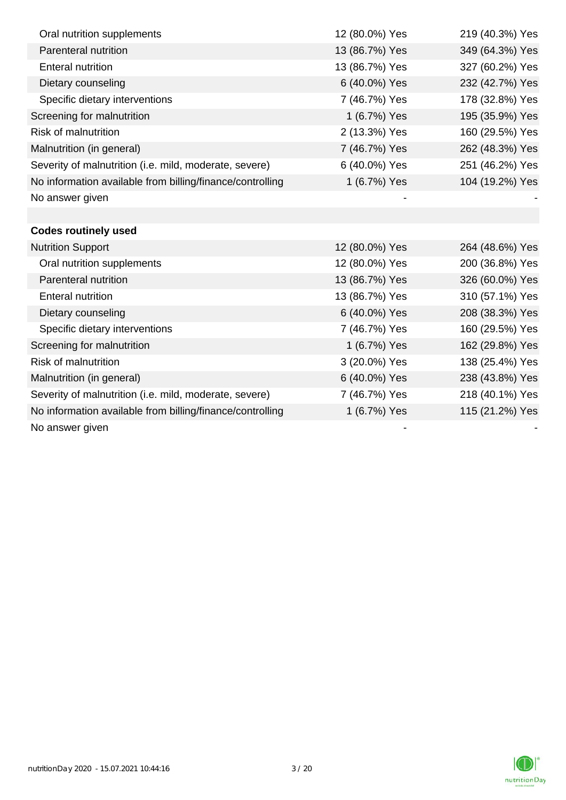| Oral nutrition supplements                                | 12 (80.0%) Yes | 219 (40.3%) Yes |
|-----------------------------------------------------------|----------------|-----------------|
| Parenteral nutrition                                      | 13 (86.7%) Yes | 349 (64.3%) Yes |
| <b>Enteral nutrition</b>                                  | 13 (86.7%) Yes | 327 (60.2%) Yes |
| Dietary counseling                                        | 6 (40.0%) Yes  | 232 (42.7%) Yes |
| Specific dietary interventions                            | 7 (46.7%) Yes  | 178 (32.8%) Yes |
| Screening for malnutrition                                | 1 (6.7%) Yes   | 195 (35.9%) Yes |
| Risk of malnutrition                                      | 2 (13.3%) Yes  | 160 (29.5%) Yes |
| Malnutrition (in general)                                 | 7 (46.7%) Yes  | 262 (48.3%) Yes |
| Severity of malnutrition (i.e. mild, moderate, severe)    | 6 (40.0%) Yes  | 251 (46.2%) Yes |
| No information available from billing/finance/controlling | 1 (6.7%) Yes   | 104 (19.2%) Yes |
| No answer given                                           |                |                 |
|                                                           |                |                 |
| <b>Codes routinely used</b>                               |                |                 |
| <b>Nutrition Support</b>                                  | 12 (80.0%) Yes | 264 (48.6%) Yes |
| Oral nutrition supplements                                | 12 (80.0%) Yes | 200 (36.8%) Yes |
| Parenteral nutrition                                      | 13 (86.7%) Yes | 326 (60.0%) Yes |
| <b>Enteral nutrition</b>                                  | 13 (86.7%) Yes | 310 (57.1%) Yes |
| Dietary counseling                                        | 6 (40.0%) Yes  | 208 (38.3%) Yes |
| Specific dietary interventions                            | 7 (46.7%) Yes  | 160 (29.5%) Yes |
| Screening for malnutrition                                | 1 (6.7%) Yes   | 162 (29.8%) Yes |
| <b>Risk of malnutrition</b>                               | 3 (20.0%) Yes  | 138 (25.4%) Yes |
| Malnutrition (in general)                                 | 6 (40.0%) Yes  | 238 (43.8%) Yes |
| Severity of malnutrition (i.e. mild, moderate, severe)    | 7 (46.7%) Yes  | 218 (40.1%) Yes |
| No information available from billing/finance/controlling | 1 (6.7%) Yes   | 115 (21.2%) Yes |
| No answer given                                           |                |                 |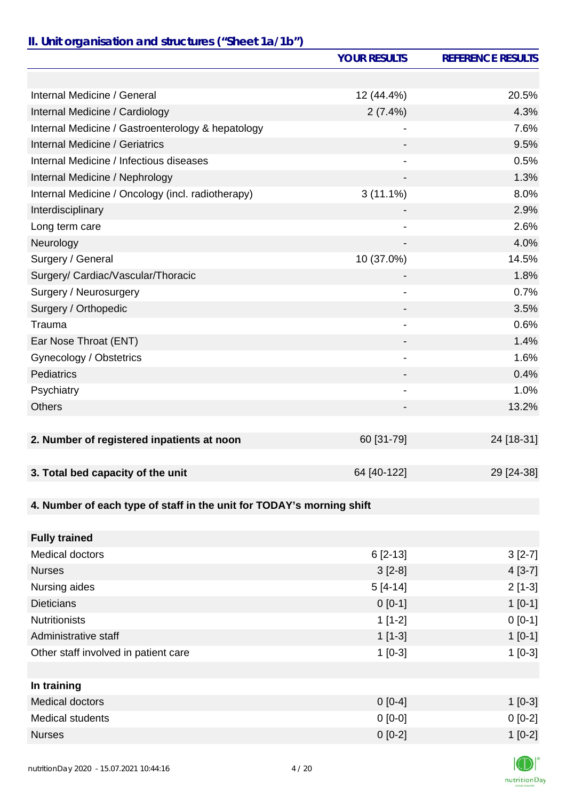# *II. Unit organisation and structures ("Sheet 1a/1b")*

|                                                                       | <b>YOUR RESULTS</b> | <b>REFERENCE RESULTS</b> |
|-----------------------------------------------------------------------|---------------------|--------------------------|
|                                                                       |                     |                          |
| Internal Medicine / General                                           | 12 (44.4%)          | 20.5%                    |
| Internal Medicine / Cardiology                                        | 2(7.4%)             | 4.3%                     |
| Internal Medicine / Gastroenterology & hepatology                     |                     | 7.6%                     |
| Internal Medicine / Geriatrics                                        |                     | 9.5%                     |
| Internal Medicine / Infectious diseases                               |                     | 0.5%                     |
| Internal Medicine / Nephrology                                        |                     | 1.3%                     |
| Internal Medicine / Oncology (incl. radiotherapy)                     | $3(11.1\%)$         | 8.0%                     |
| Interdisciplinary                                                     |                     | 2.9%                     |
| Long term care                                                        |                     | 2.6%                     |
| Neurology                                                             |                     | 4.0%                     |
| Surgery / General                                                     | 10 (37.0%)          | 14.5%                    |
| Surgery/ Cardiac/Vascular/Thoracic                                    |                     | 1.8%                     |
| Surgery / Neurosurgery                                                | $\overline{a}$      | 0.7%                     |
| Surgery / Orthopedic                                                  |                     | 3.5%                     |
| Trauma                                                                | -                   | 0.6%                     |
| Ear Nose Throat (ENT)                                                 |                     | 1.4%                     |
| Gynecology / Obstetrics                                               |                     | 1.6%                     |
| Pediatrics                                                            |                     | 0.4%                     |
| Psychiatry                                                            |                     | 1.0%                     |
| <b>Others</b>                                                         |                     | 13.2%                    |
|                                                                       |                     |                          |
| 2. Number of registered inpatients at noon                            | 60 [31-79]          | 24 [18-31]               |
|                                                                       |                     |                          |
| 3. Total bed capacity of the unit                                     | 64 [40-122]         | 29 [24-38]               |
| 4. Number of each type of staff in the unit for TODAY's morning shift |                     |                          |
|                                                                       |                     |                          |
| <b>Fully trained</b>                                                  |                     |                          |
| Medical doctors                                                       | $6[2-13]$           | $3[2-7]$                 |
| <b>Nurses</b>                                                         | $3[2-8]$            | $4[3-7]$                 |
| Nursing aides                                                         | $5[4-14]$           | $2[1-3]$                 |
| <b>Dieticians</b>                                                     | $0[0-1]$            | $1[0-1]$                 |
| <b>Nutritionists</b>                                                  | $1[1-2]$            | $0[0-1]$                 |
| Administrative staff                                                  | $1[1-3]$            | $1[0-1]$                 |
| Other staff involved in patient care                                  | $1[0-3]$            | $1[0-3]$                 |
|                                                                       |                     |                          |
| In training                                                           |                     |                          |
| <b>Medical doctors</b>                                                | $0[0-4]$            | $1[0-3]$                 |
| <b>Medical students</b>                                               | $0[0-0]$            | $0[0-2]$                 |
| <b>Nurses</b>                                                         | $0[0-2]$            | $1[0-2]$                 |
|                                                                       |                     |                          |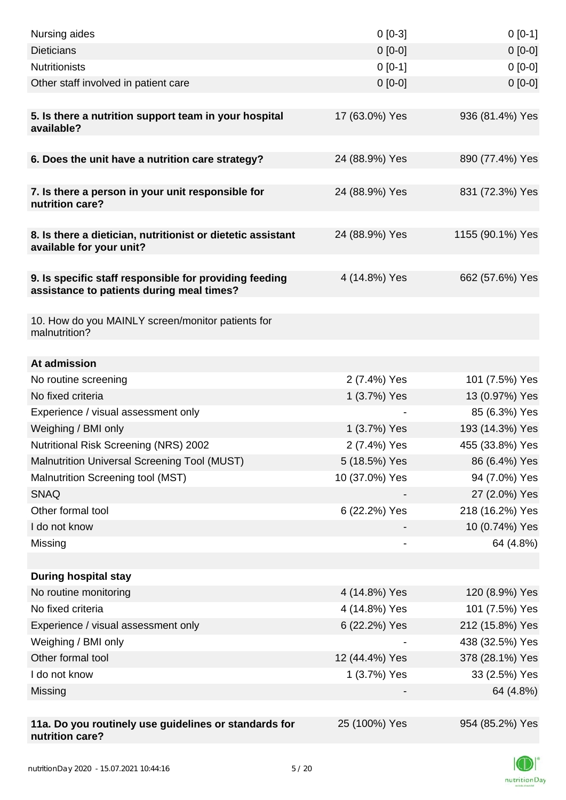| Nursing aides                                                                                       | $0[0-3]$       | $0[0-1]$         |
|-----------------------------------------------------------------------------------------------------|----------------|------------------|
| <b>Dieticians</b>                                                                                   | $0 [0-0]$      | $0 [0-0]$        |
| <b>Nutritionists</b>                                                                                | $0[0-1]$       | $0[0-0]$         |
| Other staff involved in patient care                                                                | $0$ [0-0]      | $0 [0-0]$        |
|                                                                                                     |                |                  |
| 5. Is there a nutrition support team in your hospital<br>available?                                 | 17 (63.0%) Yes | 936 (81.4%) Yes  |
| 6. Does the unit have a nutrition care strategy?                                                    | 24 (88.9%) Yes | 890 (77.4%) Yes  |
|                                                                                                     |                |                  |
| 7. Is there a person in your unit responsible for<br>nutrition care?                                | 24 (88.9%) Yes | 831 (72.3%) Yes  |
| 8. Is there a dietician, nutritionist or dietetic assistant<br>available for your unit?             | 24 (88.9%) Yes | 1155 (90.1%) Yes |
| 9. Is specific staff responsible for providing feeding<br>assistance to patients during meal times? | 4 (14.8%) Yes  | 662 (57.6%) Yes  |
| 10. How do you MAINLY screen/monitor patients for<br>malnutrition?                                  |                |                  |
| At admission                                                                                        |                |                  |
| No routine screening                                                                                | 2 (7.4%) Yes   | 101 (7.5%) Yes   |
| No fixed criteria                                                                                   | 1 (3.7%) Yes   | 13 (0.97%) Yes   |
| Experience / visual assessment only                                                                 |                | 85 (6.3%) Yes    |
| Weighing / BMI only                                                                                 | 1 (3.7%) Yes   | 193 (14.3%) Yes  |
| Nutritional Risk Screening (NRS) 2002                                                               | 2 (7.4%) Yes   | 455 (33.8%) Yes  |
| <b>Malnutrition Universal Screening Tool (MUST)</b>                                                 | 5 (18.5%) Yes  | 86 (6.4%) Yes    |
| Malnutrition Screening tool (MST)                                                                   | 10 (37.0%) Yes | 94 (7.0%) Yes    |
| <b>SNAQ</b>                                                                                         |                | 27 (2.0%) Yes    |
| Other formal tool                                                                                   | 6 (22.2%) Yes  | 218 (16.2%) Yes  |
| I do not know                                                                                       |                | 10 (0.74%) Yes   |
| Missing                                                                                             |                | 64 (4.8%)        |
|                                                                                                     |                |                  |
| <b>During hospital stay</b>                                                                         |                |                  |
| No routine monitoring                                                                               | 4 (14.8%) Yes  | 120 (8.9%) Yes   |
| No fixed criteria                                                                                   | 4 (14.8%) Yes  | 101 (7.5%) Yes   |
| Experience / visual assessment only                                                                 | 6 (22.2%) Yes  | 212 (15.8%) Yes  |
| Weighing / BMI only                                                                                 |                | 438 (32.5%) Yes  |
| Other formal tool                                                                                   | 12 (44.4%) Yes | 378 (28.1%) Yes  |
| I do not know                                                                                       | 1 (3.7%) Yes   | 33 (2.5%) Yes    |
| Missing                                                                                             |                | 64 (4.8%)        |
|                                                                                                     |                |                  |
| 11a. Do you routinely use guidelines or standards for<br>nutrition care?                            | 25 (100%) Yes  | 954 (85.2%) Yes  |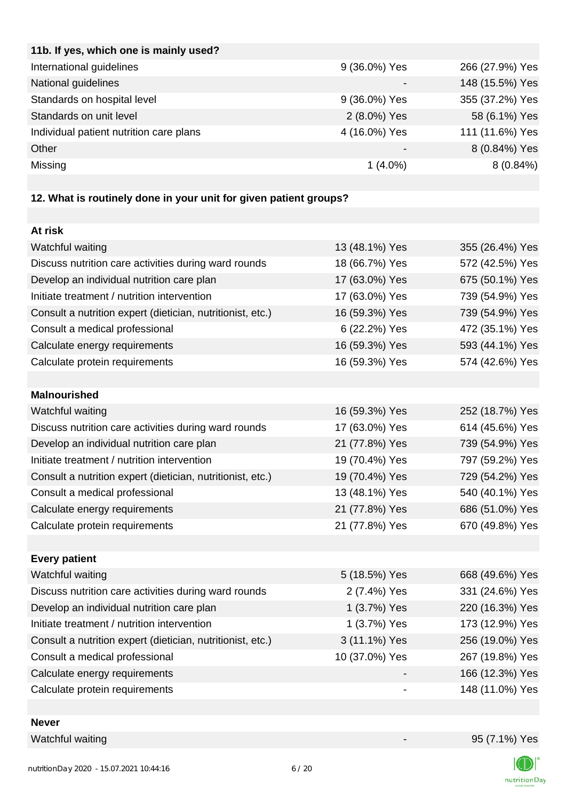| 9 (36.0%) Yes | 266 (27.9%) Yes |
|---------------|-----------------|
|               | 148 (15.5%) Yes |
| 9 (36.0%) Yes | 355 (37.2%) Yes |
| 2 (8.0%) Yes  | 58 (6.1%) Yes   |
| 4 (16.0%) Yes | 111 (11.6%) Yes |
|               | 8 (0.84%) Yes   |
| $1(4.0\%)$    | $8(0.84\%)$     |
|               |                 |

## **12. What is routinely done in your unit for given patient groups?**

| At risk                                                    |                |                 |
|------------------------------------------------------------|----------------|-----------------|
| Watchful waiting                                           | 13 (48.1%) Yes | 355 (26.4%) Yes |
| Discuss nutrition care activities during ward rounds       | 18 (66.7%) Yes | 572 (42.5%) Yes |
| Develop an individual nutrition care plan                  | 17 (63.0%) Yes | 675 (50.1%) Yes |
| Initiate treatment / nutrition intervention                | 17 (63.0%) Yes | 739 (54.9%) Yes |
| Consult a nutrition expert (dietician, nutritionist, etc.) | 16 (59.3%) Yes | 739 (54.9%) Yes |
| Consult a medical professional                             | 6 (22.2%) Yes  | 472 (35.1%) Yes |
| Calculate energy requirements                              | 16 (59.3%) Yes | 593 (44.1%) Yes |
| Calculate protein requirements                             | 16 (59.3%) Yes | 574 (42.6%) Yes |
|                                                            |                |                 |
| <b>Malnourished</b>                                        |                |                 |
| Watchful waiting                                           | 16 (59.3%) Yes | 252 (18.7%) Yes |
| Discuss nutrition care activities during ward rounds       | 17 (63.0%) Yes | 614 (45.6%) Yes |
| Develop an individual nutrition care plan                  | 21 (77.8%) Yes | 739 (54.9%) Yes |
| Initiate treatment / nutrition intervention                | 19 (70.4%) Yes | 797 (59.2%) Yes |
| Consult a nutrition expert (dietician, nutritionist, etc.) | 19 (70.4%) Yes | 729 (54.2%) Yes |
| Consult a medical professional                             | 13 (48.1%) Yes | 540 (40.1%) Yes |
| Calculate energy requirements                              | 21 (77.8%) Yes | 686 (51.0%) Yes |
| Calculate protein requirements                             | 21 (77.8%) Yes | 670 (49.8%) Yes |
|                                                            |                |                 |
| <b>Every patient</b>                                       |                |                 |
| Watchful waiting                                           | 5 (18.5%) Yes  | 668 (49.6%) Yes |
| Discuss nutrition care activities during ward rounds       | 2 (7.4%) Yes   | 331 (24.6%) Yes |
| Develop an individual nutrition care plan                  | 1 (3.7%) Yes   | 220 (16.3%) Yes |
| Initiate treatment / nutrition intervention                | 1 (3.7%) Yes   | 173 (12.9%) Yes |
| Consult a nutrition expert (dietician, nutritionist, etc.) | 3 (11.1%) Yes  | 256 (19.0%) Yes |
| Consult a medical professional                             | 10 (37.0%) Yes | 267 (19.8%) Yes |
| Calculate energy requirements                              |                | 166 (12.3%) Yes |
| Calculate protein requirements                             |                | 148 (11.0%) Yes |
|                                                            |                |                 |

#### **Never**

Watchful waiting  $95 (7.1\%)$  Yes

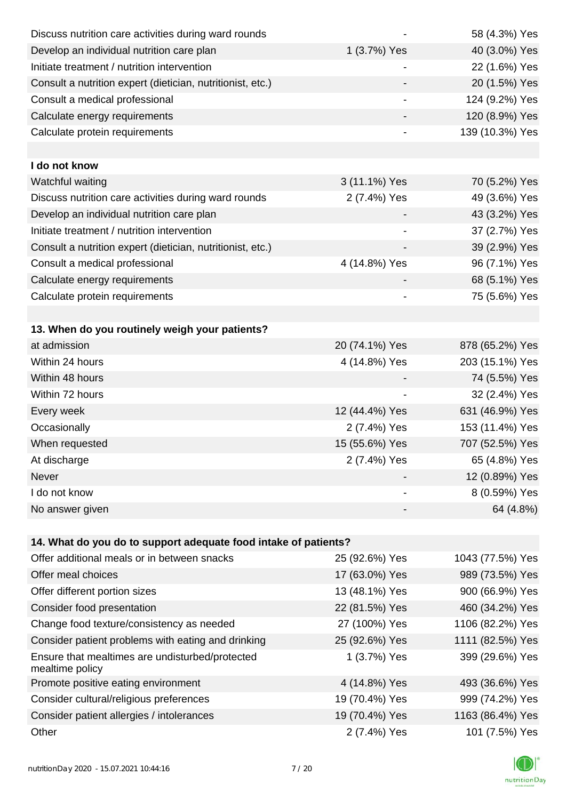| Discuss nutrition care activities during ward rounds               |                | 58 (4.3%) Yes    |
|--------------------------------------------------------------------|----------------|------------------|
| Develop an individual nutrition care plan                          | 1 (3.7%) Yes   | 40 (3.0%) Yes    |
| Initiate treatment / nutrition intervention                        |                | 22 (1.6%) Yes    |
| Consult a nutrition expert (dietician, nutritionist, etc.)         |                | 20 (1.5%) Yes    |
| Consult a medical professional                                     |                | 124 (9.2%) Yes   |
| Calculate energy requirements                                      |                | 120 (8.9%) Yes   |
| Calculate protein requirements                                     | $\blacksquare$ | 139 (10.3%) Yes  |
|                                                                    |                |                  |
| I do not know                                                      |                |                  |
| Watchful waiting                                                   | 3 (11.1%) Yes  | 70 (5.2%) Yes    |
| Discuss nutrition care activities during ward rounds               | 2 (7.4%) Yes   | 49 (3.6%) Yes    |
| Develop an individual nutrition care plan                          |                | 43 (3.2%) Yes    |
| Initiate treatment / nutrition intervention                        |                | 37 (2.7%) Yes    |
| Consult a nutrition expert (dietician, nutritionist, etc.)         |                | 39 (2.9%) Yes    |
| Consult a medical professional                                     | 4 (14.8%) Yes  | 96 (7.1%) Yes    |
| Calculate energy requirements                                      |                | 68 (5.1%) Yes    |
| Calculate protein requirements                                     |                | 75 (5.6%) Yes    |
|                                                                    |                |                  |
| 13. When do you routinely weigh your patients?                     |                |                  |
| at admission                                                       | 20 (74.1%) Yes | 878 (65.2%) Yes  |
| Within 24 hours                                                    | 4 (14.8%) Yes  | 203 (15.1%) Yes  |
| Within 48 hours                                                    |                | 74 (5.5%) Yes    |
| Within 72 hours                                                    |                | 32 (2.4%) Yes    |
| Every week                                                         | 12 (44.4%) Yes | 631 (46.9%) Yes  |
| Occasionally                                                       | 2 (7.4%) Yes   | 153 (11.4%) Yes  |
| When requested                                                     | 15 (55.6%) Yes | 707 (52.5%) Yes  |
| At discharge                                                       | 2 (7.4%) Yes   | 65 (4.8%) Yes    |
| Never                                                              |                | 12 (0.89%) Yes   |
| I do not know                                                      |                | 8 (0.59%) Yes    |
| No answer given                                                    |                | 64 (4.8%)        |
|                                                                    |                |                  |
| 14. What do you do to support adequate food intake of patients?    |                |                  |
| Offer additional meals or in between snacks                        | 25 (92.6%) Yes | 1043 (77.5%) Yes |
| Offer meal choices                                                 | 17 (63.0%) Yes | 989 (73.5%) Yes  |
| Offer different portion sizes                                      | 13 (48.1%) Yes | 900 (66.9%) Yes  |
| Consider food presentation                                         | 22 (81.5%) Yes | 460 (34.2%) Yes  |
| Change food texture/consistency as needed                          | 27 (100%) Yes  | 1106 (82.2%) Yes |
| Consider patient problems with eating and drinking                 | 25 (92.6%) Yes | 1111 (82.5%) Yes |
| Ensure that mealtimes are undisturbed/protected<br>mealtime policy | 1 (3.7%) Yes   | 399 (29.6%) Yes  |
| Promote positive eating environment                                | 4 (14.8%) Yes  | 493 (36.6%) Yes  |
| Consider cultural/religious preferences                            | 19 (70.4%) Yes | 999 (74.2%) Yes  |
| Consider patient allergies / intolerances                          | 19 (70.4%) Yes | 1163 (86.4%) Yes |
| Other                                                              | 2 (7.4%) Yes   | 101 (7.5%) Yes   |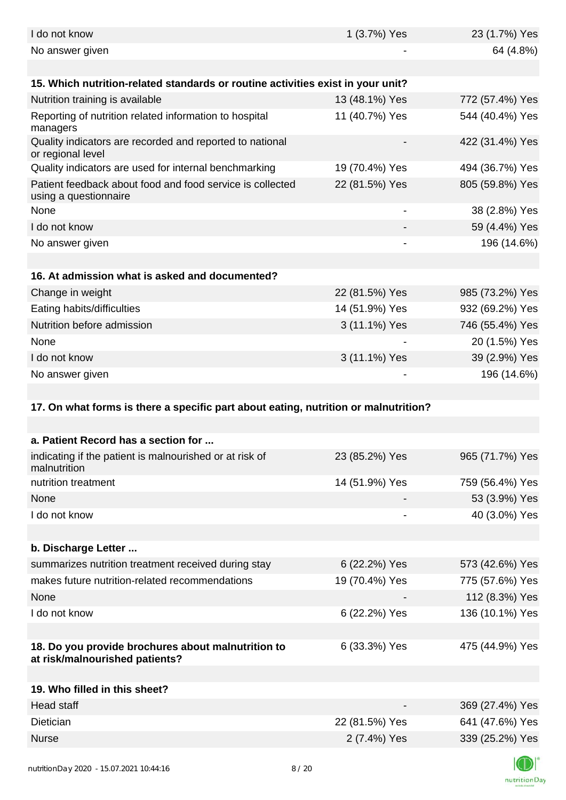| I do not know                                                                        | 1 (3.7%) Yes                 | 23 (1.7%) Yes   |
|--------------------------------------------------------------------------------------|------------------------------|-----------------|
| No answer given                                                                      |                              | 64 (4.8%)       |
|                                                                                      |                              |                 |
| 15. Which nutrition-related standards or routine activities exist in your unit?      |                              |                 |
| Nutrition training is available                                                      | 13 (48.1%) Yes               | 772 (57.4%) Yes |
| Reporting of nutrition related information to hospital<br>managers                   | 11 (40.7%) Yes               | 544 (40.4%) Yes |
| Quality indicators are recorded and reported to national<br>or regional level        |                              | 422 (31.4%) Yes |
| Quality indicators are used for internal benchmarking                                | 19 (70.4%) Yes               | 494 (36.7%) Yes |
| Patient feedback about food and food service is collected<br>using a questionnaire   | 22 (81.5%) Yes               | 805 (59.8%) Yes |
| None                                                                                 | $\qquad \qquad \blacksquare$ | 38 (2.8%) Yes   |
| I do not know                                                                        |                              | 59 (4.4%) Yes   |
| No answer given                                                                      |                              | 196 (14.6%)     |
|                                                                                      |                              |                 |
| 16. At admission what is asked and documented?                                       |                              |                 |
| Change in weight                                                                     | 22 (81.5%) Yes               | 985 (73.2%) Yes |
| Eating habits/difficulties                                                           | 14 (51.9%) Yes               | 932 (69.2%) Yes |
| Nutrition before admission                                                           | 3 (11.1%) Yes                | 746 (55.4%) Yes |
| None                                                                                 |                              | 20 (1.5%) Yes   |
| I do not know                                                                        | 3 (11.1%) Yes                | 39 (2.9%) Yes   |
| No answer given                                                                      |                              | 196 (14.6%)     |
|                                                                                      |                              |                 |
| 17. On what forms is there a specific part about eating, nutrition or malnutrition?  |                              |                 |
|                                                                                      |                              |                 |
| a. Patient Record has a section for                                                  |                              |                 |
| indicating if the patient is malnourished or at risk of<br>malnutrition              | 23 (85.2%) Yes               | 965 (71.7%) Yes |
| nutrition treatment                                                                  | 14 (51.9%) Yes               | 759 (56.4%) Yes |
| None                                                                                 |                              | 53 (3.9%) Yes   |
| I do not know                                                                        |                              | 40 (3.0%) Yes   |
|                                                                                      |                              |                 |
| b. Discharge Letter                                                                  |                              |                 |
| summarizes nutrition treatment received during stay                                  | 6 (22.2%) Yes                | 573 (42.6%) Yes |
| makes future nutrition-related recommendations                                       | 19 (70.4%) Yes               | 775 (57.6%) Yes |
| None                                                                                 |                              | 112 (8.3%) Yes  |
| I do not know                                                                        | 6 (22.2%) Yes                | 136 (10.1%) Yes |
|                                                                                      |                              |                 |
| 18. Do you provide brochures about malnutrition to<br>at risk/malnourished patients? | 6 (33.3%) Yes                | 475 (44.9%) Yes |
|                                                                                      |                              |                 |
| 19. Who filled in this sheet?                                                        |                              |                 |
| Head staff                                                                           |                              | 369 (27.4%) Yes |
| Dietician                                                                            | 22 (81.5%) Yes               | 641 (47.6%) Yes |
| <b>Nurse</b>                                                                         | 2 (7.4%) Yes                 | 339 (25.2%) Yes |
|                                                                                      |                              |                 |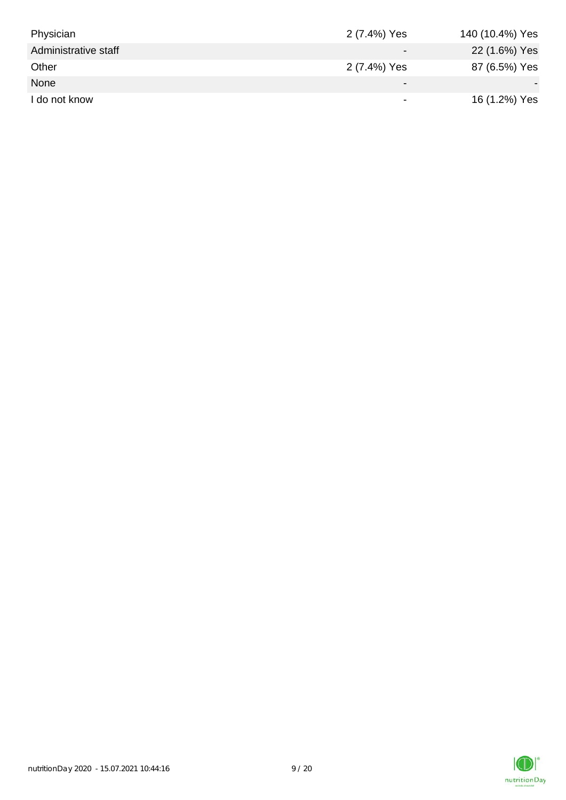| Physician            | 2 (7.4%) Yes             | 140 (10.4%) Yes |
|----------------------|--------------------------|-----------------|
| Administrative staff |                          | 22 (1.6%) Yes   |
| Other                | 2 (7.4%) Yes             | 87 (6.5%) Yes   |
| None                 | $\overline{\phantom{0}}$ |                 |
| I do not know        |                          | 16 (1.2%) Yes   |

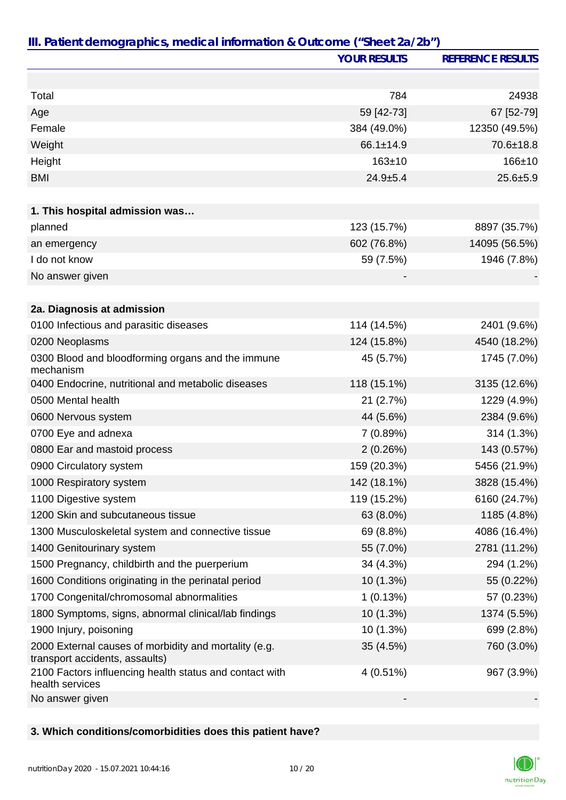|                                                                                         | <b>YOUR RESULTS</b> | <b>REFERENCE RESULTS</b> |
|-----------------------------------------------------------------------------------------|---------------------|--------------------------|
|                                                                                         |                     |                          |
| Total                                                                                   | 784                 | 24938                    |
| Age                                                                                     | 59 [42-73]          | 67 [52-79]               |
| Female                                                                                  | 384 (49.0%)         | 12350 (49.5%)            |
| Weight                                                                                  | 66.1±14.9           | 70.6±18.8                |
| Height                                                                                  | $163 + 10$          | $166 + 10$               |
| <b>BMI</b>                                                                              | $24.9 + 5.4$        | $25.6 + 5.9$             |
|                                                                                         |                     |                          |
| 1. This hospital admission was                                                          |                     |                          |
| planned                                                                                 | 123 (15.7%)         | 8897 (35.7%)             |
| an emergency                                                                            | 602 (76.8%)         | 14095 (56.5%)            |
| I do not know                                                                           | 59 (7.5%)           | 1946 (7.8%)              |
| No answer given                                                                         |                     |                          |
|                                                                                         |                     |                          |
| 2a. Diagnosis at admission                                                              |                     |                          |
| 0100 Infectious and parasitic diseases                                                  | 114 (14.5%)         | 2401 (9.6%)              |
| 0200 Neoplasms                                                                          | 124 (15.8%)         | 4540 (18.2%)             |
| 0300 Blood and bloodforming organs and the immune<br>mechanism                          | 45 (5.7%)           | 1745 (7.0%)              |
| 0400 Endocrine, nutritional and metabolic diseases                                      | 118 (15.1%)         | 3135 (12.6%)             |
| 0500 Mental health                                                                      | 21(2.7%)            | 1229 (4.9%)              |
| 0600 Nervous system                                                                     | 44 (5.6%)           | 2384 (9.6%)              |
| 0700 Eye and adnexa                                                                     | 7(0.89%)            | 314 (1.3%)               |
| 0800 Ear and mastoid process                                                            | 2(0.26%)            | 143 (0.57%)              |
| 0900 Circulatory system                                                                 | 159 (20.3%)         | 5456 (21.9%)             |
| 1000 Respiratory system                                                                 | 142 (18.1%)         | 3828 (15.4%)             |
| 1100 Digestive system                                                                   | 119 (15.2%)         | 6160 (24.7%)             |
| 1200 Skin and subcutaneous tissue                                                       | 63 (8.0%)           | 1185 (4.8%)              |
| 1300 Musculoskeletal system and connective tissue                                       | 69 (8.8%)           | 4086 (16.4%)             |
| 1400 Genitourinary system                                                               | 55 (7.0%)           | 2781 (11.2%)             |
| 1500 Pregnancy, childbirth and the puerperium                                           | 34 (4.3%)           | 294 (1.2%)               |
| 1600 Conditions originating in the perinatal period                                     | 10 (1.3%)           | 55 (0.22%)               |
| 1700 Congenital/chromosomal abnormalities                                               | 1(0.13%)            | 57 (0.23%)               |
| 1800 Symptoms, signs, abnormal clinical/lab findings                                    | 10 (1.3%)           | 1374 (5.5%)              |
| 1900 Injury, poisoning                                                                  | 10 (1.3%)           | 699 (2.8%)               |
| 2000 External causes of morbidity and mortality (e.g.<br>transport accidents, assaults) | 35 (4.5%)           | 760 (3.0%)               |
| 2100 Factors influencing health status and contact with<br>health services              | $4(0.51\%)$         | 967 (3.9%)               |
| No answer given                                                                         |                     |                          |

### **3. Which conditions/comorbidities does this patient have?**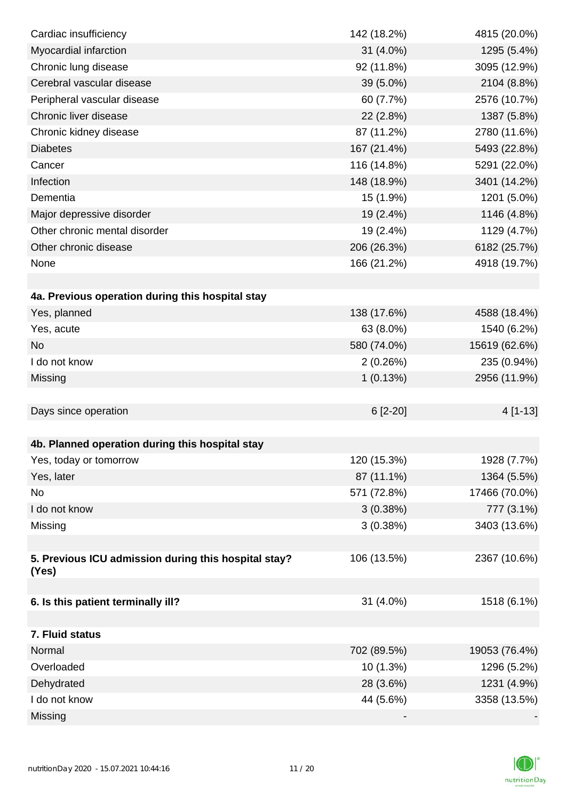| Cardiac insufficiency                                | 142 (18.2%) | 4815 (20.0%)  |
|------------------------------------------------------|-------------|---------------|
| Myocardial infarction                                | 31 (4.0%)   | 1295 (5.4%)   |
| Chronic lung disease                                 | 92 (11.8%)  | 3095 (12.9%)  |
| Cerebral vascular disease                            | 39 (5.0%)   | 2104 (8.8%)   |
| Peripheral vascular disease                          | 60 (7.7%)   | 2576 (10.7%)  |
| Chronic liver disease                                | 22 (2.8%)   | 1387 (5.8%)   |
| Chronic kidney disease                               | 87 (11.2%)  | 2780 (11.6%)  |
| <b>Diabetes</b>                                      | 167 (21.4%) | 5493 (22.8%)  |
| Cancer                                               | 116 (14.8%) | 5291 (22.0%)  |
| Infection                                            | 148 (18.9%) | 3401 (14.2%)  |
| Dementia                                             | 15 (1.9%)   | 1201 (5.0%)   |
| Major depressive disorder                            | 19 (2.4%)   | 1146 (4.8%)   |
| Other chronic mental disorder                        | 19 (2.4%)   | 1129 (4.7%)   |
| Other chronic disease                                | 206 (26.3%) | 6182 (25.7%)  |
| None                                                 | 166 (21.2%) | 4918 (19.7%)  |
|                                                      |             |               |
| 4a. Previous operation during this hospital stay     |             |               |
| Yes, planned                                         | 138 (17.6%) | 4588 (18.4%)  |
| Yes, acute                                           | 63 (8.0%)   | 1540 (6.2%)   |
| <b>No</b>                                            | 580 (74.0%) | 15619 (62.6%) |
| I do not know                                        | 2(0.26%)    | 235 (0.94%)   |
| Missing                                              | 1(0.13%)    | 2956 (11.9%)  |
|                                                      |             |               |
| Days since operation                                 | $6[2-20]$   | $4[1-13]$     |
|                                                      |             |               |
| 4b. Planned operation during this hospital stay      |             |               |
| Yes, today or tomorrow                               | 120 (15.3%) | 1928 (7.7%)   |
| Yes, later                                           | 87 (11.1%)  | 1364 (5.5%)   |
| No                                                   | 571 (72.8%) | 17466 (70.0%) |
| I do not know                                        | 3(0.38%)    | 777 (3.1%)    |
| Missing                                              | 3(0.38%)    | 3403 (13.6%)  |
|                                                      |             |               |
| 5. Previous ICU admission during this hospital stay? | 106 (13.5%) | 2367 (10.6%)  |
| (Yes)                                                |             |               |
| 6. Is this patient terminally ill?                   | 31 (4.0%)   | 1518 (6.1%)   |
|                                                      |             |               |
| 7. Fluid status                                      |             |               |
| Normal                                               | 702 (89.5%) | 19053 (76.4%) |
| Overloaded                                           | 10 (1.3%)   | 1296 (5.2%)   |
| Dehydrated                                           | 28 (3.6%)   | 1231 (4.9%)   |
| I do not know                                        | 44 (5.6%)   | 3358 (13.5%)  |
| Missing                                              |             |               |
|                                                      |             |               |

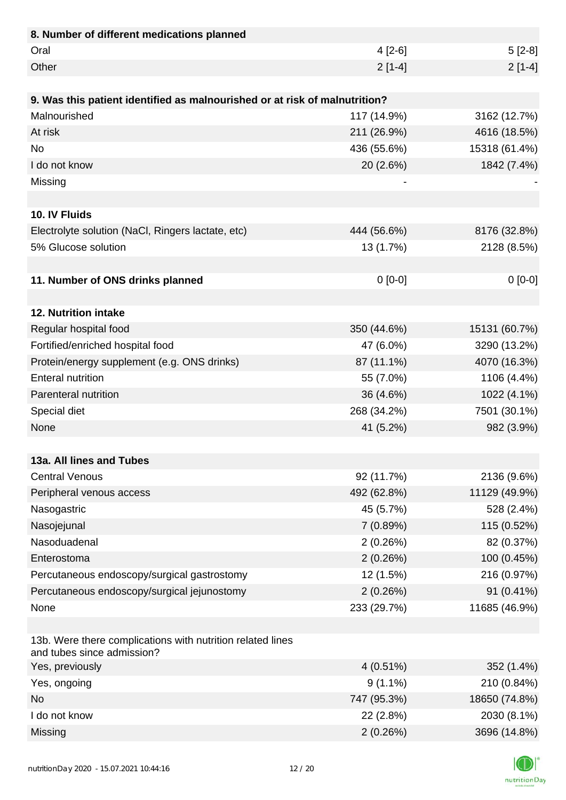| 8. Number of different medications planned                                               |             |               |
|------------------------------------------------------------------------------------------|-------------|---------------|
| Oral                                                                                     | $4[2-6]$    | $5[2-8]$      |
| Other                                                                                    | $2[1-4]$    | $2[1-4]$      |
|                                                                                          |             |               |
| 9. Was this patient identified as malnourished or at risk of malnutrition?               |             |               |
| Malnourished                                                                             | 117 (14.9%) | 3162 (12.7%)  |
| At risk                                                                                  | 211 (26.9%) | 4616 (18.5%)  |
| <b>No</b>                                                                                | 436 (55.6%) | 15318 (61.4%) |
| I do not know                                                                            | 20 (2.6%)   | 1842 (7.4%)   |
| Missing                                                                                  |             |               |
|                                                                                          |             |               |
| 10. IV Fluids                                                                            |             |               |
| Electrolyte solution (NaCl, Ringers lactate, etc)                                        | 444 (56.6%) | 8176 (32.8%)  |
| 5% Glucose solution                                                                      | 13 (1.7%)   | 2128 (8.5%)   |
|                                                                                          |             |               |
| 11. Number of ONS drinks planned                                                         | $0[0-0]$    | $0[0-0]$      |
|                                                                                          |             |               |
| 12. Nutrition intake                                                                     |             |               |
| Regular hospital food                                                                    | 350 (44.6%) | 15131 (60.7%) |
| Fortified/enriched hospital food                                                         | 47 (6.0%)   | 3290 (13.2%)  |
| Protein/energy supplement (e.g. ONS drinks)                                              | 87 (11.1%)  | 4070 (16.3%)  |
| <b>Enteral nutrition</b>                                                                 | 55 (7.0%)   | 1106 (4.4%)   |
| Parenteral nutrition                                                                     | 36 (4.6%)   | 1022 (4.1%)   |
| Special diet                                                                             | 268 (34.2%) | 7501 (30.1%)  |
| None                                                                                     | 41 (5.2%)   | 982 (3.9%)    |
|                                                                                          |             |               |
| 13a. All lines and Tubes                                                                 |             |               |
| <b>Central Venous</b>                                                                    | 92 (11.7%)  | 2136 (9.6%)   |
| Peripheral venous access                                                                 | 492 (62.8%) | 11129 (49.9%) |
| Nasogastric                                                                              | 45 (5.7%)   | 528 (2.4%)    |
| Nasojejunal                                                                              | 7(0.89%)    | 115 (0.52%)   |
| Nasoduadenal                                                                             | 2(0.26%)    | 82 (0.37%)    |
| Enterostoma                                                                              | 2(0.26%)    | 100 (0.45%)   |
| Percutaneous endoscopy/surgical gastrostomy                                              | 12 (1.5%)   | 216 (0.97%)   |
| Percutaneous endoscopy/surgical jejunostomy                                              | 2(0.26%)    | 91 (0.41%)    |
| None                                                                                     | 233 (29.7%) | 11685 (46.9%) |
|                                                                                          |             |               |
| 13b. Were there complications with nutrition related lines<br>and tubes since admission? |             |               |
| Yes, previously                                                                          | $4(0.51\%)$ | 352 (1.4%)    |
| Yes, ongoing                                                                             | $9(1.1\%)$  | 210 (0.84%)   |
| <b>No</b>                                                                                | 747 (95.3%) | 18650 (74.8%) |
| I do not know                                                                            | 22 (2.8%)   | 2030 (8.1%)   |
| Missing                                                                                  | 2(0.26%)    | 3696 (14.8%)  |

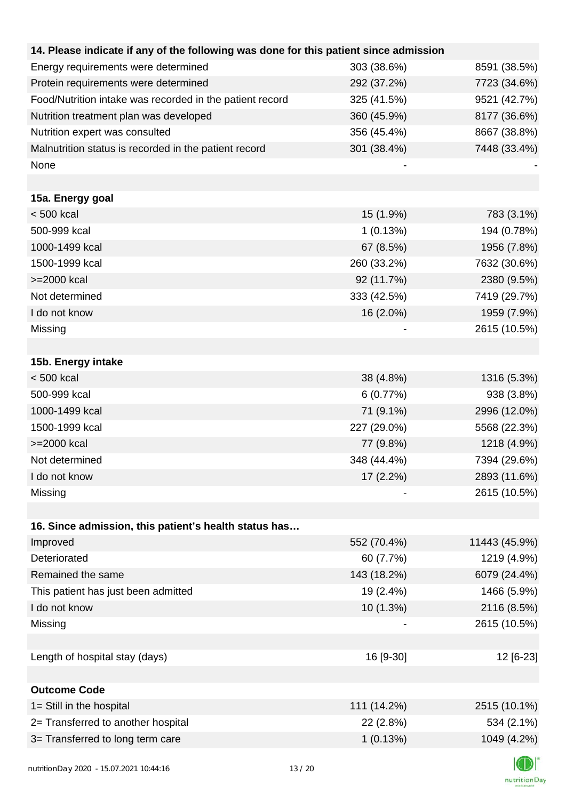| 14. Please indicate if any of the following was done for this patient since admission |             |               |
|---------------------------------------------------------------------------------------|-------------|---------------|
| Energy requirements were determined                                                   | 303 (38.6%) | 8591 (38.5%)  |
| Protein requirements were determined                                                  | 292 (37.2%) | 7723 (34.6%)  |
| Food/Nutrition intake was recorded in the patient record                              | 325 (41.5%) | 9521 (42.7%)  |
| Nutrition treatment plan was developed                                                | 360 (45.9%) | 8177 (36.6%)  |
| Nutrition expert was consulted                                                        | 356 (45.4%) | 8667 (38.8%)  |
| Malnutrition status is recorded in the patient record                                 | 301 (38.4%) | 7448 (33.4%)  |
| None                                                                                  |             |               |
|                                                                                       |             |               |
| 15a. Energy goal                                                                      |             |               |
| $< 500$ kcal                                                                          | 15 (1.9%)   | 783 (3.1%)    |
| 500-999 kcal                                                                          | 1(0.13%)    | 194 (0.78%)   |
| 1000-1499 kcal                                                                        | 67 (8.5%)   | 1956 (7.8%)   |
| 1500-1999 kcal                                                                        | 260 (33.2%) | 7632 (30.6%)  |
| >=2000 kcal                                                                           | 92 (11.7%)  | 2380 (9.5%)   |
| Not determined                                                                        | 333 (42.5%) | 7419 (29.7%)  |
| I do not know                                                                         | 16 (2.0%)   | 1959 (7.9%)   |
| Missing                                                                               |             | 2615 (10.5%)  |
|                                                                                       |             |               |
| 15b. Energy intake                                                                    |             |               |
| $< 500$ kcal                                                                          | 38 (4.8%)   | 1316 (5.3%)   |
| 500-999 kcal                                                                          | 6(0.77%)    | 938 (3.8%)    |
| 1000-1499 kcal                                                                        | 71 (9.1%)   | 2996 (12.0%)  |
| 1500-1999 kcal                                                                        | 227 (29.0%) | 5568 (22.3%)  |
| >=2000 kcal                                                                           | 77 (9.8%)   | 1218 (4.9%)   |
| Not determined                                                                        | 348 (44.4%) | 7394 (29.6%)  |
| I do not know                                                                         | $17(2.2\%)$ | 2893 (11.6%)  |
| Missing                                                                               |             | 2615 (10.5%)  |
|                                                                                       |             |               |
| 16. Since admission, this patient's health status has                                 |             |               |
| Improved                                                                              | 552 (70.4%) | 11443 (45.9%) |
| Deteriorated                                                                          | 60 (7.7%)   | 1219 (4.9%)   |
| Remained the same                                                                     | 143 (18.2%) | 6079 (24.4%)  |
| This patient has just been admitted                                                   | 19 (2.4%)   | 1466 (5.9%)   |
| I do not know                                                                         | $10(1.3\%)$ | 2116 (8.5%)   |
| Missing                                                                               |             | 2615 (10.5%)  |
|                                                                                       |             |               |
| Length of hospital stay (days)                                                        | 16 [9-30]   | 12 [6-23]     |
|                                                                                       |             |               |
| <b>Outcome Code</b>                                                                   |             |               |
| 1= Still in the hospital                                                              | 111 (14.2%) | 2515 (10.1%)  |
| 2= Transferred to another hospital                                                    | 22 (2.8%)   | 534 (2.1%)    |
| 3= Transferred to long term care                                                      | 1(0.13%)    | 1049 (4.2%)   |
|                                                                                       |             |               |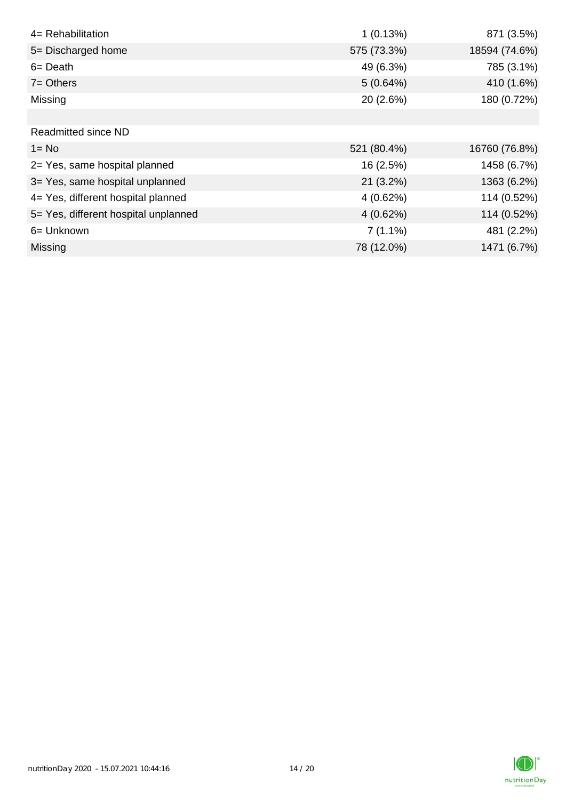| 4= Rehabilitation                    | 1(0.13%)    | 871 (3.5%)    |
|--------------------------------------|-------------|---------------|
| 5= Discharged home                   | 575 (73.3%) | 18594 (74.6%) |
| $6 = Death$                          | 49 (6.3%)   | 785 (3.1%)    |
| $7 =$ Others                         | 5(0.64%)    | 410 (1.6%)    |
| Missing                              | 20 (2.6%)   | 180 (0.72%)   |
|                                      |             |               |
| <b>Readmitted since ND</b>           |             |               |
| $1 = No$                             | 521 (80.4%) | 16760 (76.8%) |
| 2= Yes, same hospital planned        | 16 (2.5%)   | 1458 (6.7%)   |
| 3= Yes, same hospital unplanned      | $21(3.2\%)$ | 1363 (6.2%)   |
| 4= Yes, different hospital planned   | 4(0.62%)    | 114 (0.52%)   |
| 5= Yes, different hospital unplanned | 4(0.62%)    | 114 (0.52%)   |
| 6= Unknown                           | $7(1.1\%)$  | 481 (2.2%)    |
| <b>Missing</b>                       | 78 (12.0%)  | 1471 (6.7%)   |

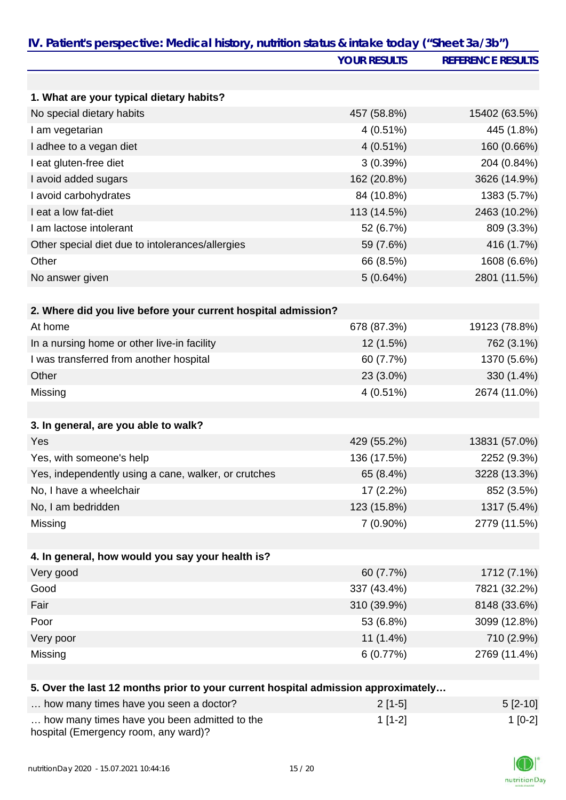|                                                                                   | <b>YOUR RESULTS</b> | <b>REFERENCE RESULTS</b> |
|-----------------------------------------------------------------------------------|---------------------|--------------------------|
|                                                                                   |                     |                          |
| 1. What are your typical dietary habits?                                          |                     |                          |
| No special dietary habits                                                         | 457 (58.8%)         | 15402 (63.5%)            |
| I am vegetarian                                                                   | $4(0.51\%)$         | 445 (1.8%)               |
| I adhee to a vegan diet                                                           | $4(0.51\%)$         | 160 (0.66%)              |
| I eat gluten-free diet                                                            | 3(0.39%)            | 204 (0.84%)              |
| I avoid added sugars                                                              | 162 (20.8%)         | 3626 (14.9%)             |
| I avoid carbohydrates                                                             | 84 (10.8%)          | 1383 (5.7%)              |
| I eat a low fat-diet                                                              | 113 (14.5%)         | 2463 (10.2%)             |
| I am lactose intolerant                                                           | 52 (6.7%)           | 809 (3.3%)               |
| Other special diet due to intolerances/allergies                                  | 59 (7.6%)           | 416 (1.7%)               |
| Other                                                                             | 66 (8.5%)           | 1608 (6.6%)              |
| No answer given                                                                   | 5(0.64%)            | 2801 (11.5%)             |
| 2. Where did you live before your current hospital admission?                     |                     |                          |
| At home                                                                           | 678 (87.3%)         | 19123 (78.8%)            |
| In a nursing home or other live-in facility                                       | 12 (1.5%)           | 762 (3.1%)               |
| I was transferred from another hospital                                           | 60 (7.7%)           | 1370 (5.6%)              |
| Other                                                                             | 23 (3.0%)           | 330 (1.4%)               |
| Missing                                                                           | $4(0.51\%)$         | 2674 (11.0%)             |
|                                                                                   |                     |                          |
| 3. In general, are you able to walk?                                              |                     |                          |
| Yes                                                                               | 429 (55.2%)         | 13831 (57.0%)            |
| Yes, with someone's help                                                          | 136 (17.5%)         | 2252 (9.3%)              |
| Yes, independently using a cane, walker, or crutches                              | 65 (8.4%)           | 3228 (13.3%)             |
| No, I have a wheelchair                                                           | 17 (2.2%)           | 852 (3.5%)               |
| No, I am bedridden                                                                | 123 (15.8%)         | 1317 (5.4%)              |
| Missing                                                                           | 7 (0.90%)           | 2779 (11.5%)             |
| 4. In general, how would you say your health is?                                  |                     |                          |
| Very good                                                                         | 60 (7.7%)           | 1712 (7.1%)              |
| Good                                                                              | 337 (43.4%)         | 7821 (32.2%)             |
| Fair                                                                              | 310 (39.9%)         | 8148 (33.6%)             |
| Poor                                                                              | 53 (6.8%)           | 3099 (12.8%)             |
| Very poor                                                                         | 11 (1.4%)           | 710 (2.9%)               |
| Missing                                                                           | 6 (0.77%)           | 2769 (11.4%)             |
|                                                                                   |                     |                          |
| 5. Over the last 12 months prior to your current hospital admission approximately |                     |                          |
| how many times have you seen a doctor?                                            | $2[1-5]$            | $5[2-10]$                |

| $\ldots$ $\ldots$ $\ldots$ $\ldots$ $\ldots$ $\ldots$ $\ldots$ $\ldots$ $\ldots$ $\ldots$ $\ldots$ $\ldots$ $\ldots$ | $-1$ . $-1$ | $-1$ $-1$ |
|----------------------------------------------------------------------------------------------------------------------|-------------|-----------|
| how many times have you been admitted to the<br>hospital (Emergency room, any ward)?                                 | $1$ [1-2]   | 1 [0-2]   |
|                                                                                                                      |             |           |

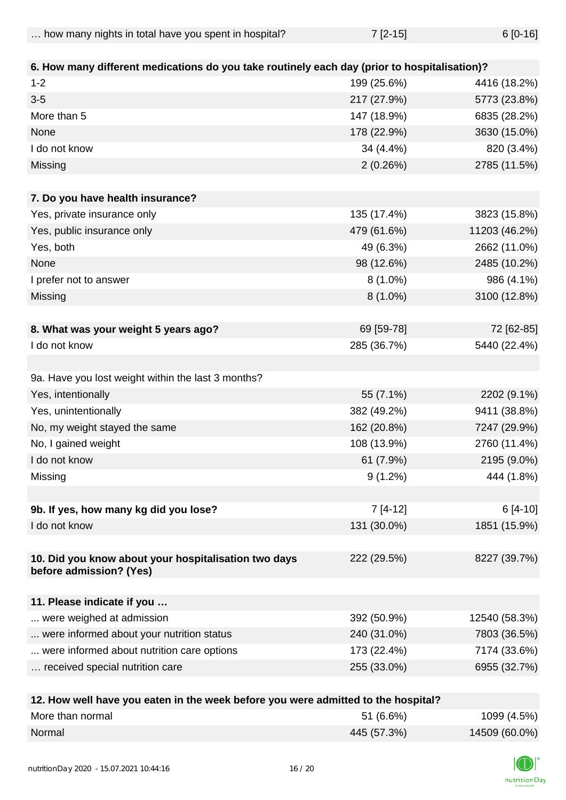| how many nights in total have you spent in hospital? | $7[2-15]$ | $6[0-16]$ |
|------------------------------------------------------|-----------|-----------|
|                                                      |           |           |

| 6. How many different medications do you take routinely each day (prior to hospitalisation)? |             |               |
|----------------------------------------------------------------------------------------------|-------------|---------------|
| $1 - 2$                                                                                      | 199 (25.6%) | 4416 (18.2%)  |
| $3-5$                                                                                        | 217 (27.9%) | 5773 (23.8%)  |
| More than 5                                                                                  | 147 (18.9%) | 6835 (28.2%)  |
| None                                                                                         | 178 (22.9%) | 3630 (15.0%)  |
| I do not know                                                                                | 34 (4.4%)   | 820 (3.4%)    |
| Missing                                                                                      | 2(0.26%)    | 2785 (11.5%)  |
|                                                                                              |             |               |
| 7. Do you have health insurance?                                                             |             |               |
| Yes, private insurance only                                                                  | 135 (17.4%) | 3823 (15.8%)  |
| Yes, public insurance only                                                                   | 479 (61.6%) | 11203 (46.2%) |
| Yes, both                                                                                    | 49 (6.3%)   | 2662 (11.0%)  |
| None                                                                                         | 98 (12.6%)  | 2485 (10.2%)  |
| I prefer not to answer                                                                       | $8(1.0\%)$  | 986 (4.1%)    |
| Missing                                                                                      | $8(1.0\%)$  | 3100 (12.8%)  |
|                                                                                              |             |               |
| 8. What was your weight 5 years ago?                                                         | 69 [59-78]  | 72 [62-85]    |
| I do not know                                                                                | 285 (36.7%) | 5440 (22.4%)  |
|                                                                                              |             |               |
| 9a. Have you lost weight within the last 3 months?                                           |             |               |
| Yes, intentionally                                                                           | 55 (7.1%)   | 2202 (9.1%)   |
| Yes, unintentionally                                                                         | 382 (49.2%) | 9411 (38.8%)  |
| No, my weight stayed the same                                                                | 162 (20.8%) | 7247 (29.9%)  |
| No, I gained weight                                                                          | 108 (13.9%) | 2760 (11.4%)  |
| I do not know                                                                                | 61 (7.9%)   | 2195 (9.0%)   |
| Missing                                                                                      | $9(1.2\%)$  | 444 (1.8%)    |
|                                                                                              |             |               |
| 9b. If yes, how many kg did you lose?                                                        | $7[4-12]$   | 6 [4-10]      |
| I do not know                                                                                | 131 (30.0%) | 1851 (15.9%)  |
|                                                                                              |             |               |
| 10. Did you know about your hospitalisation two days                                         | 222 (29.5%) | 8227 (39.7%)  |
| before admission? (Yes)                                                                      |             |               |
| 11. Please indicate if you                                                                   |             |               |
| were weighed at admission                                                                    | 392 (50.9%) | 12540 (58.3%) |
| were informed about your nutrition status                                                    | 240 (31.0%) | 7803 (36.5%)  |
| were informed about nutrition care options                                                   | 173 (22.4%) | 7174 (33.6%)  |
| received special nutrition care                                                              | 255 (33.0%) | 6955 (32.7%)  |
|                                                                                              |             |               |

| 12. How well have you eaten in the week before you were admitted to the hospital? |             |               |
|-----------------------------------------------------------------------------------|-------------|---------------|
| More than normal                                                                  | 51 (6.6%)   | 1099 (4.5%)   |
| Normal                                                                            | 445 (57.3%) | 14509 (60.0%) |

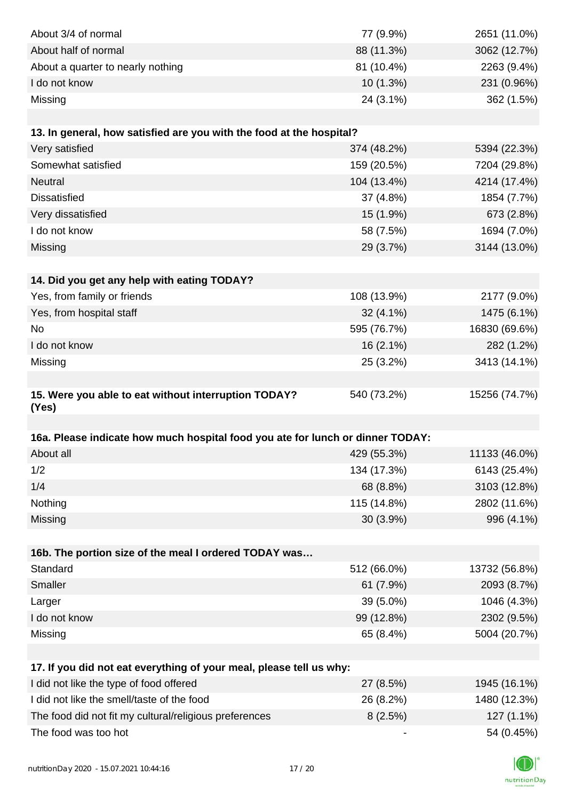| About 3/4 of normal                                                            | 77 (9.9%)   | 2651 (11.0%)  |
|--------------------------------------------------------------------------------|-------------|---------------|
| About half of normal                                                           | 88 (11.3%)  | 3062 (12.7%)  |
| About a quarter to nearly nothing                                              | 81 (10.4%)  | 2263 (9.4%)   |
| I do not know                                                                  | 10 (1.3%)   | 231 (0.96%)   |
| Missing                                                                        | 24 (3.1%)   | 362 (1.5%)    |
|                                                                                |             |               |
| 13. In general, how satisfied are you with the food at the hospital?           |             |               |
| Very satisfied                                                                 | 374 (48.2%) | 5394 (22.3%)  |
| Somewhat satisfied                                                             | 159 (20.5%) | 7204 (29.8%)  |
| <b>Neutral</b>                                                                 | 104 (13.4%) | 4214 (17.4%)  |
| <b>Dissatisfied</b>                                                            | 37 (4.8%)   | 1854 (7.7%)   |
| Very dissatisfied                                                              | 15 (1.9%)   | 673 (2.8%)    |
| I do not know                                                                  | 58 (7.5%)   | 1694 (7.0%)   |
| Missing                                                                        | 29 (3.7%)   | 3144 (13.0%)  |
|                                                                                |             |               |
| 14. Did you get any help with eating TODAY?                                    |             |               |
| Yes, from family or friends                                                    | 108 (13.9%) | 2177 (9.0%)   |
| Yes, from hospital staff                                                       | 32 (4.1%)   | 1475 (6.1%)   |
| No                                                                             | 595 (76.7%) | 16830 (69.6%) |
| I do not know                                                                  | 16 (2.1%)   | 282 (1.2%)    |
| Missing                                                                        | 25 (3.2%)   | 3413 (14.1%)  |
|                                                                                |             |               |
| 15. Were you able to eat without interruption TODAY?                           | 540 (73.2%) | 15256 (74.7%) |
| (Yes)                                                                          |             |               |
|                                                                                |             |               |
| 16a. Please indicate how much hospital food you ate for lunch or dinner TODAY: |             |               |
| About all                                                                      | 429 (55.3%) | 11133 (46.0%) |
| 1/2                                                                            | 134 (17.3%) | 6143 (25.4%)  |
| 1/4                                                                            | 68 (8.8%)   | 3103 (12.8%)  |
| Nothing                                                                        | 115 (14.8%) | 2802 (11.6%)  |
| Missing                                                                        | $30(3.9\%)$ | 996 (4.1%)    |
|                                                                                |             |               |
| 16b. The portion size of the meal I ordered TODAY was                          |             |               |
| Standard                                                                       | 512 (66.0%) | 13732 (56.8%) |
| Smaller                                                                        | 61 (7.9%)   | 2093 (8.7%)   |
| Larger                                                                         | 39 (5.0%)   | 1046 (4.3%)   |
| I do not know                                                                  | 99 (12.8%)  | 2302 (9.5%)   |
| Missing                                                                        | 65 (8.4%)   | 5004 (20.7%)  |
|                                                                                |             |               |
| 17. If you did not eat everything of your meal, please tell us why:            |             |               |
| I did not like the type of food offered                                        | 27 (8.5%)   | 1945 (16.1%)  |
| I did not like the smell/taste of the food                                     | 26 (8.2%)   | 1480 (12.3%)  |
| The food did not fit my cultural/religious preferences                         | 8(2.5%)     | 127 (1.1%)    |
| The food was too hot                                                           |             | 54 (0.45%)    |

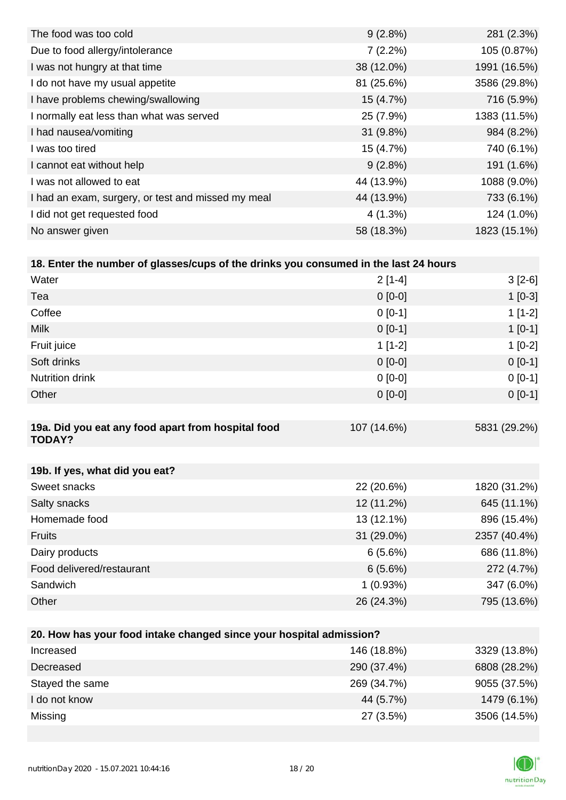| The food was too cold                              | $9(2.8\%)$  | 281 (2.3%)   |
|----------------------------------------------------|-------------|--------------|
| Due to food allergy/intolerance                    | 7(2.2%)     | 105 (0.87%)  |
| I was not hungry at that time                      | 38 (12.0%)  | 1991 (16.5%) |
| I do not have my usual appetite                    | 81 (25.6%)  | 3586 (29.8%) |
| I have problems chewing/swallowing                 | 15 (4.7%)   | 716 (5.9%)   |
| I normally eat less than what was served           | 25 (7.9%)   | 1383 (11.5%) |
| I had nausea/vomiting                              | $31(9.8\%)$ | 984 (8.2%)   |
| I was too tired                                    | 15 (4.7%)   | 740 (6.1%)   |
| I cannot eat without help                          | $9(2.8\%)$  | 191 (1.6%)   |
| I was not allowed to eat                           | 44 (13.9%)  | 1088 (9.0%)  |
| I had an exam, surgery, or test and missed my meal | 44 (13.9%)  | 733 (6.1%)   |
| I did not get requested food                       | $4(1.3\%)$  | 124 (1.0%)   |
| No answer given                                    | 58 (18.3%)  | 1823 (15.1%) |

| 18. Enter the number of glasses/cups of the drinks you consumed in the last 24 hours |             |              |
|--------------------------------------------------------------------------------------|-------------|--------------|
| Water                                                                                | $2[1-4]$    | $3[2-6]$     |
| Tea                                                                                  | $0 [0-0]$   | $1[0-3]$     |
| Coffee                                                                               | $0[0-1]$    | $1[1-2]$     |
| <b>Milk</b>                                                                          | $0[0-1]$    | $1[0-1]$     |
| Fruit juice                                                                          | $1[1-2]$    | $1[0-2]$     |
| Soft drinks                                                                          | $0 [0-0]$   | $0[0-1]$     |
| <b>Nutrition drink</b>                                                               | $0$ [0-0]   | $0[0-1]$     |
| Other                                                                                | $0[0-0]$    | $0[0-1]$     |
|                                                                                      |             |              |
| 19a. Did you eat any food apart from hospital food<br><b>TODAY?</b>                  | 107 (14.6%) | 5831 (29.2%) |
|                                                                                      |             |              |

| 19b. If yes, what did you eat? |              |              |
|--------------------------------|--------------|--------------|
| Sweet snacks                   | 22 (20.6%)   | 1820 (31.2%) |
| Salty snacks                   | 12 (11.2%)   | 645 (11.1%)  |
| Homemade food                  | 13 (12.1%)   | 896 (15.4%)  |
| <b>Fruits</b>                  | $31(29.0\%)$ | 2357 (40.4%) |
| Dairy products                 | 6(5.6%)      | 686 (11.8%)  |
| Food delivered/restaurant      | $6(5.6\%)$   | 272 (4.7%)   |
| Sandwich                       | 1(0.93%)     | 347 (6.0%)   |
| Other                          | 26 (24.3%)   | 795 (13.6%)  |

| 20. How has your food intake changed since your hospital admission? |             |              |  |  |
|---------------------------------------------------------------------|-------------|--------------|--|--|
| Increased                                                           | 146 (18.8%) | 3329 (13.8%) |  |  |
| Decreased                                                           | 290 (37.4%) | 6808 (28.2%) |  |  |
| Stayed the same                                                     | 269 (34.7%) | 9055 (37.5%) |  |  |
| I do not know                                                       | 44 (5.7%)   | 1479 (6.1%)  |  |  |
| Missing                                                             | 27 (3.5%)   | 3506 (14.5%) |  |  |

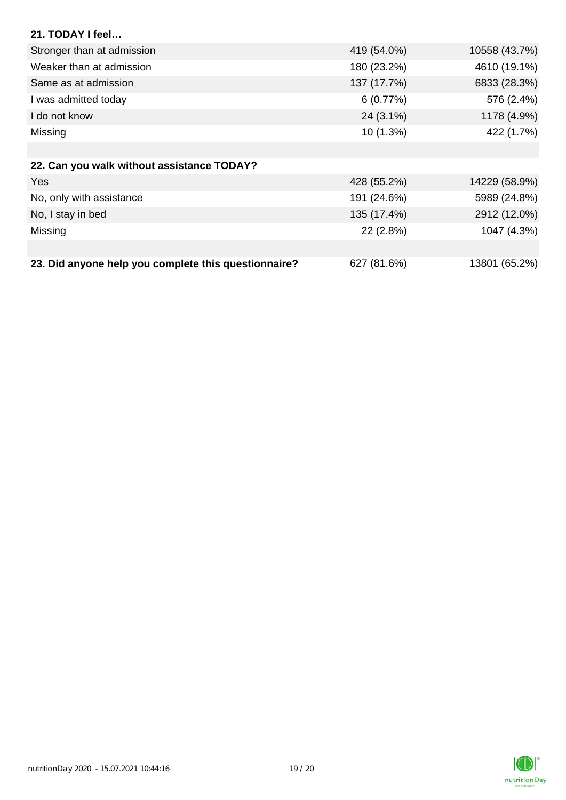| 21. TODAY I feel                                     |             |               |
|------------------------------------------------------|-------------|---------------|
| Stronger than at admission                           | 419 (54.0%) | 10558 (43.7%) |
| Weaker than at admission                             | 180 (23.2%) | 4610 (19.1%)  |
| Same as at admission                                 | 137 (17.7%) | 6833 (28.3%)  |
| I was admitted today                                 | 6(0.77%)    | 576 (2.4%)    |
| I do not know                                        | 24 (3.1%)   | 1178 (4.9%)   |
| Missing                                              | $10(1.3\%)$ | 422 (1.7%)    |
|                                                      |             |               |
| 22. Can you walk without assistance TODAY?           |             |               |
| <b>Yes</b>                                           | 428 (55.2%) | 14229 (58.9%) |
| No, only with assistance                             | 191 (24.6%) | 5989 (24.8%)  |
| No, I stay in bed                                    | 135 (17.4%) | 2912 (12.0%)  |
| Missing                                              | 22 (2.8%)   | 1047 (4.3%)   |
|                                                      |             |               |
| 23. Did anyone help you complete this questionnaire? | 627 (81.6%) | 13801 (65.2%) |